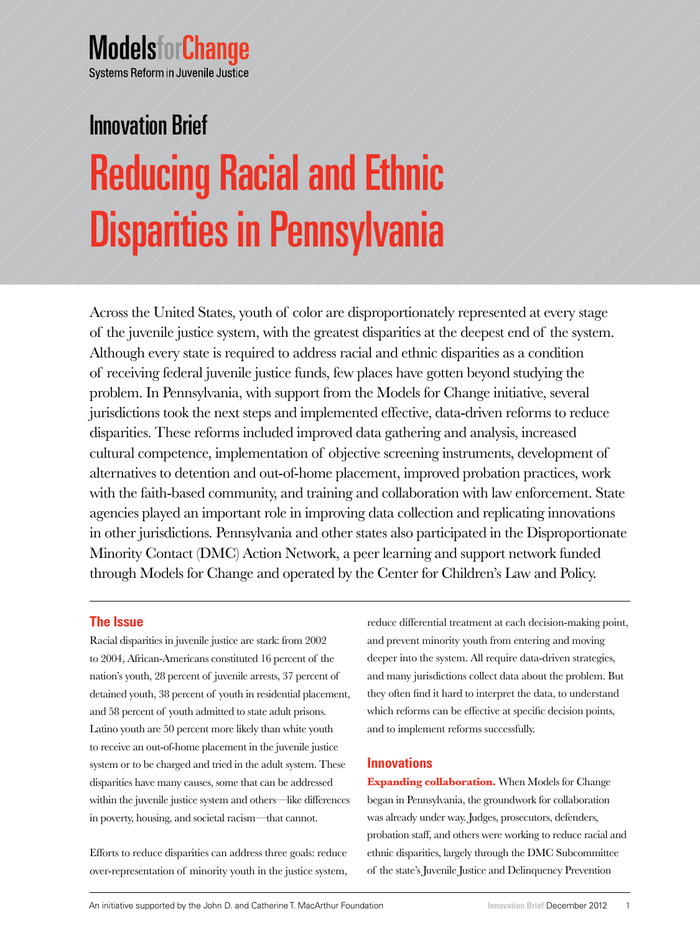# **ModelsforChange** Systems Reform in Juvenile Justice

Reducing Racial and Ethnic Disparities in Pennsylvania Innovation Brief

Across the United States, youth of color are disproportionately represented at every stage of the juvenile justice system, with the greatest disparities at the deepest end of the system. Although every state is required to address racial and ethnic disparities as a condition of receiving federal juvenile justice funds, few places have gotten beyond studying the problem. In Pennsylvania, with support from the Models for Change initiative, several jurisdictions took the next steps and implemented effective, data-driven reforms to reduce disparities. These reforms included improved data gathering and analysis, increased cultural competence, implementation of objective screening instruments, development of alternatives to detention and out-of-home placement, improved probation practices, work with the faith-based community, and training and collaboration with law enforcement. State agencies played an important role in improving data collection and replicating innovations in other jurisdictions. Pennsylvania and other states also participated in the Disproportionate Minority Contact (DMC) Action Network, a peer learning and support network funded through Models for Change and operated by the Center for Children's Law and Policy.

# **The Issue**

Racial disparities in juvenile justice are stark: from 2002 to 2004, African-Americans constituted 16 percent of the nation's youth, 28 percent of juvenile arrests, 37 percent of detained youth, 38 percent of youth in residential placement, and 58 percent of youth admitted to state adult prisons. Latino youth are 50 percent more likely than white youth to receive an out-of-home placement in the juvenile justice system or to be charged and tried in the adult system. These disparities have many causes, some that can be addressed within the juvenile justice system and others—like differences in poverty, housing, and societal racism—that cannot.

Efforts to reduce disparities can address three goals: reduce over-representation of minority youth in the justice system,

reduce differential treatment at each decision-making point, and prevent minority youth from entering and moving deeper into the system. All require data-driven strategies, and many jurisdictions collect data about the problem. But they often find it hard to interpret the data, to understand which reforms can be effective at specific decision points, and to implement reforms successfully.

# **Innovations**

**Expanding collaboration.** When Models for Change began in Pennsylvania, the groundwork for collaboration was already under way. Judges, prosecutors, defenders, probation staff, and others were working to reduce racial and ethnic disparities, largely through the DMC Subcommittee of the state's Juvenile Justice and Delinquency Prevention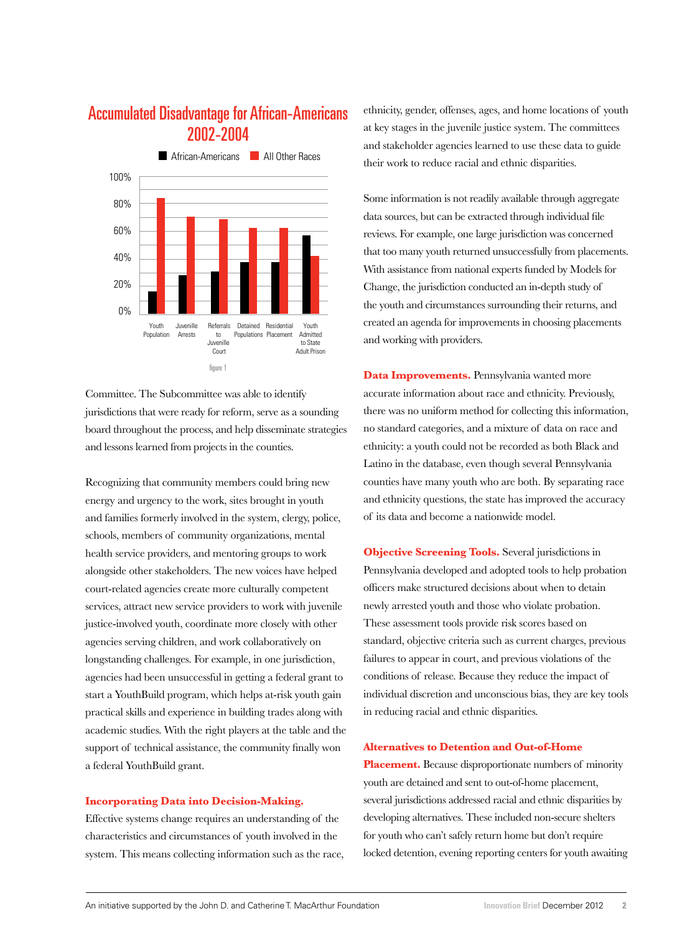

# Accumulated Disadvantage for African-Americans 2002-2004

Committee. The Subcommittee was able to identify jurisdictions that were ready for reform, serve as a sounding board throughout the process, and help disseminate strategies and lessons learned from projects in the counties.

Recognizing that community members could bring new energy and urgency to the work, sites brought in youth and families formerly involved in the system, clergy, police, schools, members of community organizations, mental health service providers, and mentoring groups to work alongside other stakeholders. The new voices have helped court-related agencies create more culturally competent services, attract new service providers to work with juvenile justice-involved youth, coordinate more closely with other agencies serving children, and work collaboratively on longstanding challenges. For example, in one jurisdiction, agencies had been unsuccessful in getting a federal grant to start a YouthBuild program, which helps at-risk youth gain practical skills and experience in building trades along with academic studies. With the right players at the table and the support of technical assistance, the community finally won a federal YouthBuild grant.

#### **Incorporating Data into Decision-Making.**

Effective systems change requires an understanding of the characteristics and circumstances of youth involved in the system. This means collecting information such as the race, ethnicity, gender, offenses, ages, and home locations of youth at key stages in the juvenile justice system. The committees and stakeholder agencies learned to use these data to guide their work to reduce racial and ethnic disparities.

Some information is not readily available through aggregate data sources, but can be extracted through individual file reviews. For example, one large jurisdiction was concerned that too many youth returned unsuccessfully from placements. With assistance from national experts funded by Models for Change, the jurisdiction conducted an in-depth study of the youth and circumstances surrounding their returns, and created an agenda for improvements in choosing placements and working with providers.

**Data Improvements.** Pennsylvania wanted more accurate information about race and ethnicity. Previously, there was no uniform method for collecting this information, no standard categories, and a mixture of data on race and ethnicity: a youth could not be recorded as both Black and Latino in the database, even though several Pennsylvania counties have many youth who are both. By separating race and ethnicity questions, the state has improved the accuracy of its data and become a nationwide model.

**Objective Screening Tools.** Several jurisdictions in Pennsylvania developed and adopted tools to help probation officers make structured decisions about when to detain newly arrested youth and those who violate probation. These assessment tools provide risk scores based on standard, objective criteria such as current charges, previous failures to appear in court, and previous violations of the conditions of release. Because they reduce the impact of individual discretion and unconscious bias, they are key tools in reducing racial and ethnic disparities.

#### **Alternatives to Detention and Out-of-Home**

**Placement.** Because disproportionate numbers of minority youth are detained and sent to out-of-home placement, several jurisdictions addressed racial and ethnic disparities by developing alternatives. These included non-secure shelters for youth who can't safely return home but don't require locked detention, evening reporting centers for youth awaiting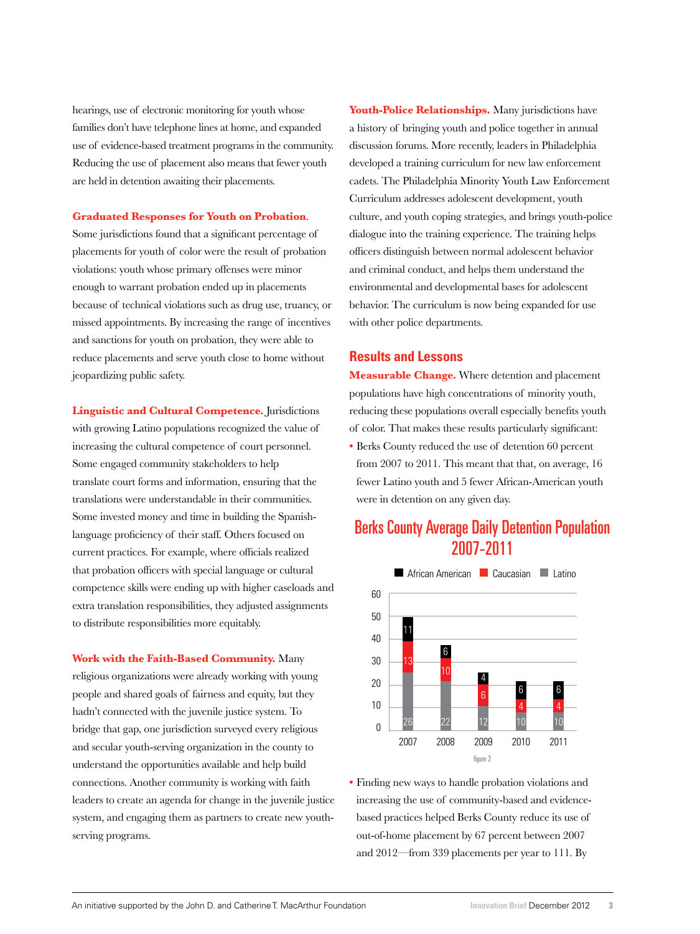hearings, use of electronic monitoring for youth whose families don't have telephone lines at home, and expanded use of evidence-based treatment programs in the community. Reducing the use of placement also means that fewer youth are held in detention awaiting their placements.

#### **Graduated Responses for Youth on Probation**.

Some jurisdictions found that a significant percentage of placements for youth of color were the result of probation violations: youth whose primary offenses were minor enough to warrant probation ended up in placements because of technical violations such as drug use, truancy, or missed appointments. By increasing the range of incentives and sanctions for youth on probation, they were able to reduce placements and serve youth close to home without jeopardizing public safety.

**Linguistic and Cultural Competence.** Jurisdictions with growing Latino populations recognized the value of increasing the cultural competence of court personnel. Some engaged community stakeholders to help translate court forms and information, ensuring that the translations were understandable in their communities. Some invested money and time in building the Spanishlanguage proficiency of their staff. Others focused on current practices. For example, where officials realized that probation officers with special language or cultural competence skills were ending up with higher caseloads and extra translation responsibilities, they adjusted assignments to distribute responsibilities more equitably.

**Work with the Faith-Based Community.** Many religious organizations were already working with young people and shared goals of fairness and equity, but they hadn't connected with the juvenile justice system. To bridge that gap, one jurisdiction surveyed every religious and secular youth-serving organization in the county to understand the opportunities available and help build connections. Another community is working with faith leaders to create an agenda for change in the juvenile justice system, and engaging them as partners to create new youthserving programs.

**Youth-Police Relationships.** Many jurisdictions have a history of bringing youth and police together in annual discussion forums. More recently, leaders in Philadelphia developed a training curriculum for new law enforcement cadets. The Philadelphia Minority Youth Law Enforcement Curriculum addresses adolescent development, youth culture, and youth coping strategies, and brings youth-police dialogue into the training experience. The training helps officers distinguish between normal adolescent behavior and criminal conduct, and helps them understand the environmental and developmental bases for adolescent behavior. The curriculum is now being expanded for use with other police departments.

## **Results and Lessons**

**Measurable Change.** Where detention and placement populations have high concentrations of minority youth, reducing these populations overall especially benefits youth of color. That makes these results particularly significant: **•** Berks County reduced the use of detention 60 percent

from 2007 to 2011. This meant that that, on average, 16 fewer Latino youth and 5 fewer African-American youth were in detention on any given day.

# Berks County Average Daily Detention Population 2007-2011



**•** Finding new ways to handle probation violations and increasing the use of community-based and evidencebased practices helped Berks County reduce its use of out-of-home placement by 67 percent between 2007 and 2012—from 339 placements per year to 111. By